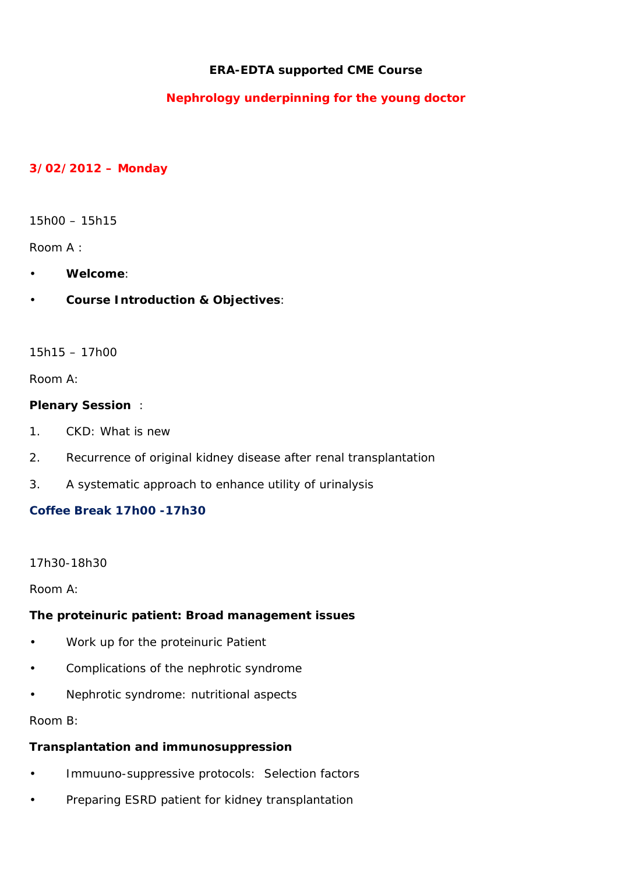## **ERA-EDTA supported CME Course**

# **Nephrology underpinning for the young doctor**

#### **3/02/2012 – Monday**

15h00 – 15h15

Room A :

- **Welcome**:
- **Course Introduction & Objectives**:

 $15h15 - 17h00$ 

Room A:

#### **Plenary Session** :

- 1. CKD: What is new
- 2. Recurrence of original kidney disease after renal transplantation
- 3. A systematic approach to enhance utility of urinalysis

## **Coffee Break 17h00 -17h30**

### 17h30-18h30

Room A:

### **The proteinuric patient: Broad management issues**

- Work up for the proteinuric Patient
- Complications of the nephrotic syndrome
- Nephrotic syndrome: nutritional aspects

Room B:

### **Transplantation and immunosuppression**

- Immuuno-suppressive protocols: Selection factors
- Preparing ESRD patient for kidney transplantation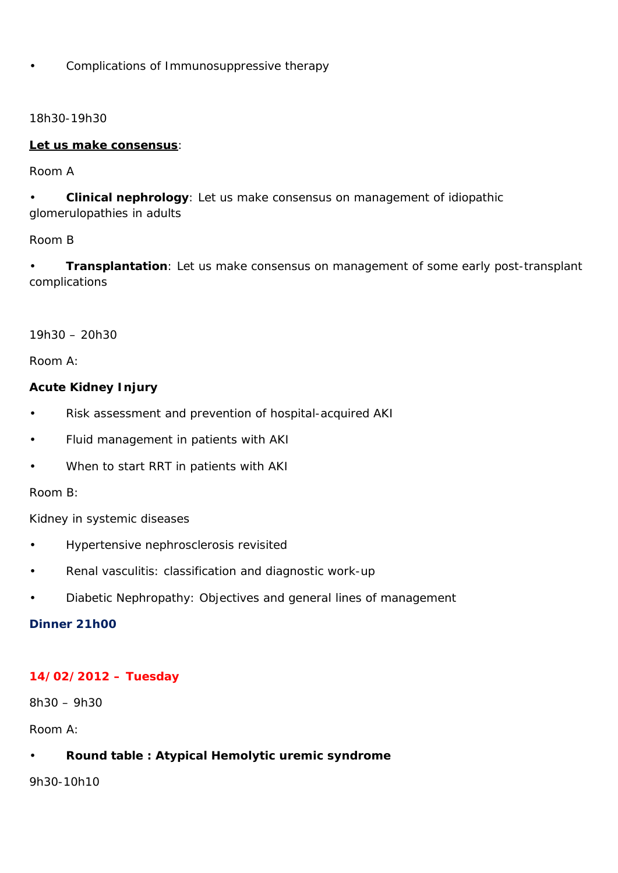• Complications of Immunosuppressive therapy

18h30-19h30

#### **Let us make consensus**:

#### Room A

• **Clinical nephrology**: Let us make consensus on management of idiopathic glomerulopathies in adults

### Room B

• **Transplantation**: Let us make consensus on management of some early post-transplant complications

19h30 – 20h30

Room A:

### **Acute Kidney Injury**

- Risk assessment and prevention of hospital-acquired AKI
- Fluid management in patients with AKI
- When to start RRT in patients with AKI

### Room B:

Kidney in systemic diseases

- Hypertensive nephrosclerosis revisited
- Renal vasculitis: classification and diagnostic work-up
- Diabetic Nephropathy: Objectives and general lines of management

### **Dinner 21h00**

### **14/02/2012 – Tuesday**

8h30 – 9h30

Room A:

### • **Round table : Atypical Hemolytic uremic syndrome**

9h30-10h10